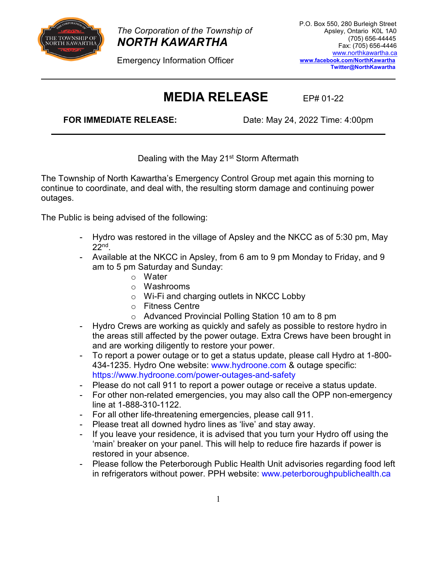

*The Corporation of the Township of NORTH KAWARTHA* 

Emergency Information Officer

## **MEDIA RELEASE** EP# 01-22

**FOR IMMEDIATE RELEASE:** Date: May 24, 2022 Time: 4:00pm

Dealing with the May 21<sup>st</sup> Storm Aftermath

The Township of North Kawartha's Emergency Control Group met again this morning to continue to coordinate, and deal with, the resulting storm damage and continuing power outages.

The Public is being advised of the following:

- Hydro was restored in the village of Apsley and the NKCC as of 5:30 pm, May 22nd.
- Available at the NKCC in Apsley, from 6 am to 9 pm Monday to Friday, and 9 am to 5 pm Saturday and Sunday:
	- o Water
	- o Washrooms
	- o Wi-Fi and charging outlets in NKCC Lobby
	- o Fitness Centre
	- o Advanced Provincial Polling Station 10 am to 8 pm
- Hydro Crews are working as quickly and safely as possible to restore hydro in the areas still affected by the power outage. Extra Crews have been brought in and are working diligently to restore your power.
- To report a power outage or to get a status update, please call Hydro at 1-800- 434-1235. Hydro One website: [www.hydroone.com](http://www.hydroone.com/) & outage specific: <https://www.hydroone.com/power-outages-and-safety>
- Please do not call 911 to report a power outage or receive a status update.
- For other non-related emergencies, you may also call the OPP non-emergency line at 1-888-310-1122.
- For all other life-threatening emergencies, please call 911.
- Please treat all downed hydro lines as 'live' and stay away.
- If you leave your residence, it is advised that you turn your Hydro off using the 'main' breaker on your panel. This will help to reduce fire hazards if power is restored in your absence.
- Please follow the Peterborough Public Health Unit advisories regarding food left in refrigerators without power. PPH website: [www.peterboroughpublichealth.ca](http://www.peterboroughpublichealth.ca/)